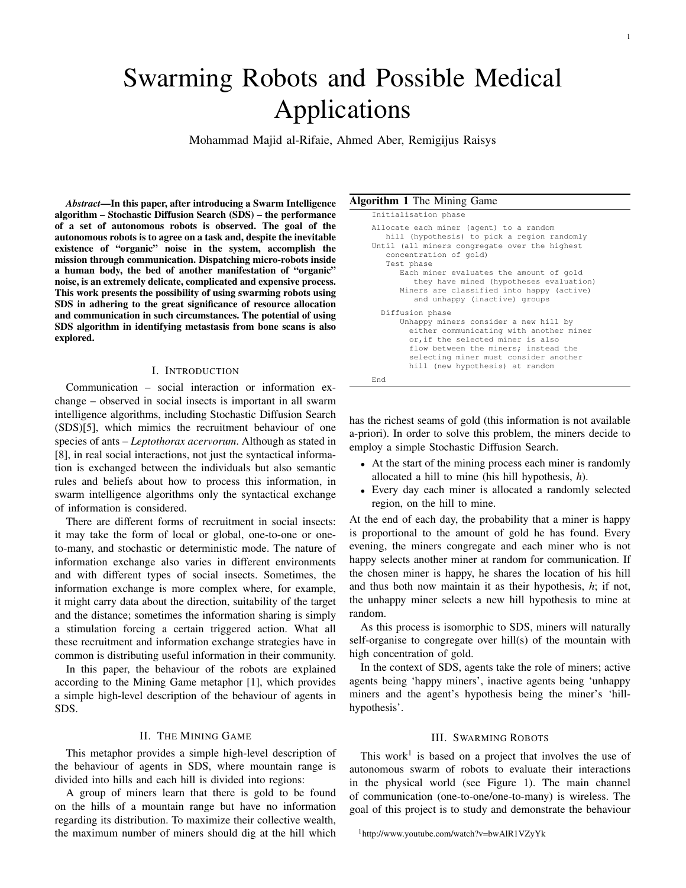# Swarming Robots and Possible Medical Applications

Mohammad Majid al-Rifaie, Ahmed Aber, Remigijus Raisys

*Abstract*—In this paper, after introducing a Swarm Intelligence algorithm – Stochastic Diffusion Search (SDS) – the performance of a set of autonomous robots is observed. The goal of the autonomous robots is to agree on a task and, despite the inevitable existence of "organic" noise in the system, accomplish the mission through communication. Dispatching micro-robots inside a human body, the bed of another manifestation of "organic" noise, is an extremely delicate, complicated and expensive process. This work presents the possibility of using swarming robots using SDS in adhering to the great significance of resource allocation and communication in such circumstances. The potential of using SDS algorithm in identifying metastasis from bone scans is also explored.

#### I. INTRODUCTION

Communication – social interaction or information exchange – observed in social insects is important in all swarm intelligence algorithms, including Stochastic Diffusion Search (SDS)[5], which mimics the recruitment behaviour of one species of ants – *Leptothorax acervorum*. Although as stated in [8], in real social interactions, not just the syntactical information is exchanged between the individuals but also semantic rules and beliefs about how to process this information, in swarm intelligence algorithms only the syntactical exchange of information is considered.

There are different forms of recruitment in social insects: it may take the form of local or global, one-to-one or oneto-many, and stochastic or deterministic mode. The nature of information exchange also varies in different environments and with different types of social insects. Sometimes, the information exchange is more complex where, for example, it might carry data about the direction, suitability of the target and the distance; sometimes the information sharing is simply a stimulation forcing a certain triggered action. What all these recruitment and information exchange strategies have in common is distributing useful information in their community.

In this paper, the behaviour of the robots are explained according to the Mining Game metaphor [1], which provides a simple high-level description of the behaviour of agents in SDS.

#### II. THE MINING GAME

This metaphor provides a simple high-level description of the behaviour of agents in SDS, where mountain range is divided into hills and each hill is divided into regions:

A group of miners learn that there is gold to be found on the hills of a mountain range but have no information regarding its distribution. To maximize their collective wealth, the maximum number of miners should dig at the hill which

#### Algorithm 1 The Mining Game

```
Initialisation phase
Allocate each miner (agent) to a random
  hill (hypothesis) to pick a region randomly
Until (all miners congregate over the highest
   concentration of gold)
   Test phase
      Each miner evaluates the amount of gold
         they have mined (hypotheses evaluation)
      Miners are classified into happy (active)
         and unhappy (inactive) groups
  Diffusion phase
      Unhappy miners consider a new hill by
        either communicating with another miner
        or,if the selected miner is also
        flow between the miners; instead the
        selecting miner must consider another
        hill (new hypothesis) at random
End
```
has the richest seams of gold (this information is not available a-priori). In order to solve this problem, the miners decide to employ a simple Stochastic Diffusion Search.

- At the start of the mining process each miner is randomly allocated a hill to mine (his hill hypothesis, *h*).
- Every day each miner is allocated a randomly selected region, on the hill to mine.

At the end of each day, the probability that a miner is happy is proportional to the amount of gold he has found. Every evening, the miners congregate and each miner who is not happy selects another miner at random for communication. If the chosen miner is happy, he shares the location of his hill and thus both now maintain it as their hypothesis, *h*; if not, the unhappy miner selects a new hill hypothesis to mine at random.

As this process is isomorphic to SDS, miners will naturally self-organise to congregate over hill(s) of the mountain with high concentration of gold.

In the context of SDS, agents take the role of miners; active agents being 'happy miners', inactive agents being 'unhappy miners and the agent's hypothesis being the miner's 'hillhypothesis'.

#### III. SWARMING ROBOTS

This work<sup>1</sup> is based on a project that involves the use of autonomous swarm of robots to evaluate their interactions in the physical world (see Figure 1). The main channel of communication (one-to-one/one-to-many) is wireless. The goal of this project is to study and demonstrate the behaviour

<sup>1</sup>http://www.youtube.com/watch?v=bwAlR1VZyYk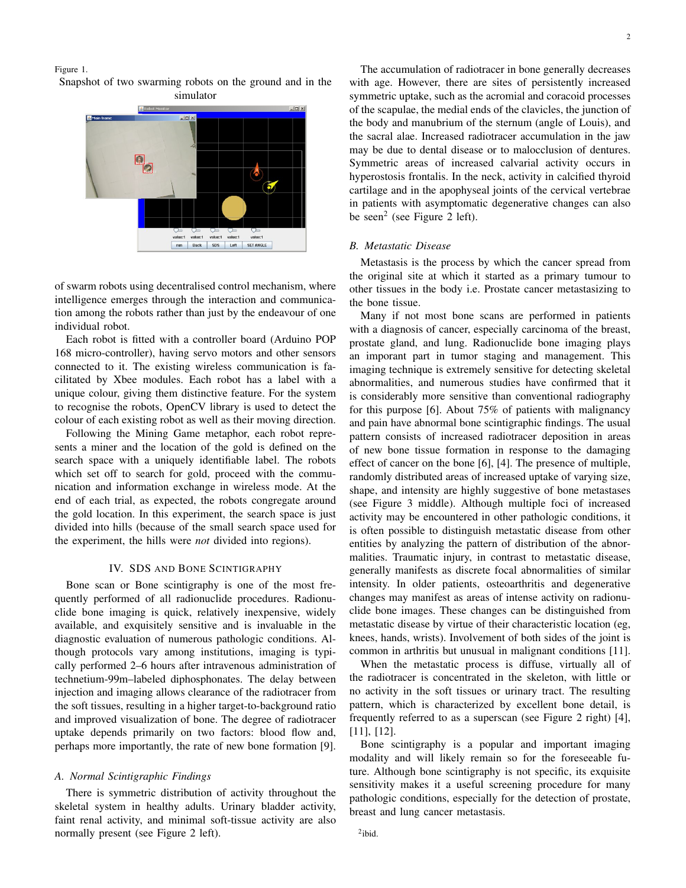



of swarm robots using decentralised control mechanism, where intelligence emerges through the interaction and communication among the robots rather than just by the endeavour of one individual robot.

Each robot is fitted with a controller board (Arduino POP 168 micro-controller), having servo motors and other sensors connected to it. The existing wireless communication is facilitated by Xbee modules. Each robot has a label with a unique colour, giving them distinctive feature. For the system to recognise the robots, OpenCV library is used to detect the colour of each existing robot as well as their moving direction.

Following the Mining Game metaphor, each robot represents a miner and the location of the gold is defined on the search space with a uniquely identifiable label. The robots which set off to search for gold, proceed with the communication and information exchange in wireless mode. At the end of each trial, as expected, the robots congregate around the gold location. In this experiment, the search space is just divided into hills (because of the small search space used for the experiment, the hills were *not* divided into regions).

## IV. SDS AND BONE SCINTIGRAPHY

Bone scan or Bone scintigraphy is one of the most frequently performed of all radionuclide procedures. Radionuclide bone imaging is quick, relatively inexpensive, widely available, and exquisitely sensitive and is invaluable in the diagnostic evaluation of numerous pathologic conditions. Although protocols vary among institutions, imaging is typically performed 2–6 hours after intravenous administration of technetium-99m–labeled diphosphonates. The delay between injection and imaging allows clearance of the radiotracer from the soft tissues, resulting in a higher target-to-background ratio and improved visualization of bone. The degree of radiotracer uptake depends primarily on two factors: blood flow and, perhaps more importantly, the rate of new bone formation [9].

#### *A. Normal Scintigraphic Findings*

There is symmetric distribution of activity throughout the skeletal system in healthy adults. Urinary bladder activity, faint renal activity, and minimal soft-tissue activity are also normally present (see Figure 2 left).

The accumulation of radiotracer in bone generally decreases with age. However, there are sites of persistently increased symmetric uptake, such as the acromial and coracoid processes of the scapulae, the medial ends of the clavicles, the junction of the body and manubrium of the sternum (angle of Louis), and the sacral alae. Increased radiotracer accumulation in the jaw may be due to dental disease or to malocclusion of dentures. Symmetric areas of increased calvarial activity occurs in hyperostosis frontalis. In the neck, activity in calcified thyroid cartilage and in the apophyseal joints of the cervical vertebrae in patients with asymptomatic degenerative changes can also be seen<sup>2</sup> (see Figure 2 left).

### *B. Metastatic Disease*

Metastasis is the process by which the cancer spread from the original site at which it started as a primary tumour to other tissues in the body i.e. Prostate cancer metastasizing to the bone tissue.

Many if not most bone scans are performed in patients with a diagnosis of cancer, especially carcinoma of the breast, prostate gland, and lung. Radionuclide bone imaging plays an imporant part in tumor staging and management. This imaging technique is extremely sensitive for detecting skeletal abnormalities, and numerous studies have confirmed that it is considerably more sensitive than conventional radiography for this purpose [6]. About 75% of patients with malignancy and pain have abnormal bone scintigraphic findings. The usual pattern consists of increased radiotracer deposition in areas of new bone tissue formation in response to the damaging effect of cancer on the bone [6], [4]. The presence of multiple, randomly distributed areas of increased uptake of varying size, shape, and intensity are highly suggestive of bone metastases (see Figure 3 middle). Although multiple foci of increased activity may be encountered in other pathologic conditions, it is often possible to distinguish metastatic disease from other entities by analyzing the pattern of distribution of the abnormalities. Traumatic injury, in contrast to metastatic disease, generally manifests as discrete focal abnormalities of similar intensity. In older patients, osteoarthritis and degenerative changes may manifest as areas of intense activity on radionuclide bone images. These changes can be distinguished from metastatic disease by virtue of their characteristic location (eg, knees, hands, wrists). Involvement of both sides of the joint is common in arthritis but unusual in malignant conditions [11].

When the metastatic process is diffuse, virtually all of the radiotracer is concentrated in the skeleton, with little or no activity in the soft tissues or urinary tract. The resulting pattern, which is characterized by excellent bone detail, is frequently referred to as a superscan (see Figure 2 right) [4], [11], [12].

Bone scintigraphy is a popular and important imaging modality and will likely remain so for the foreseeable future. Although bone scintigraphy is not specific, its exquisite sensitivity makes it a useful screening procedure for many pathologic conditions, especially for the detection of prostate, breast and lung cancer metastasis.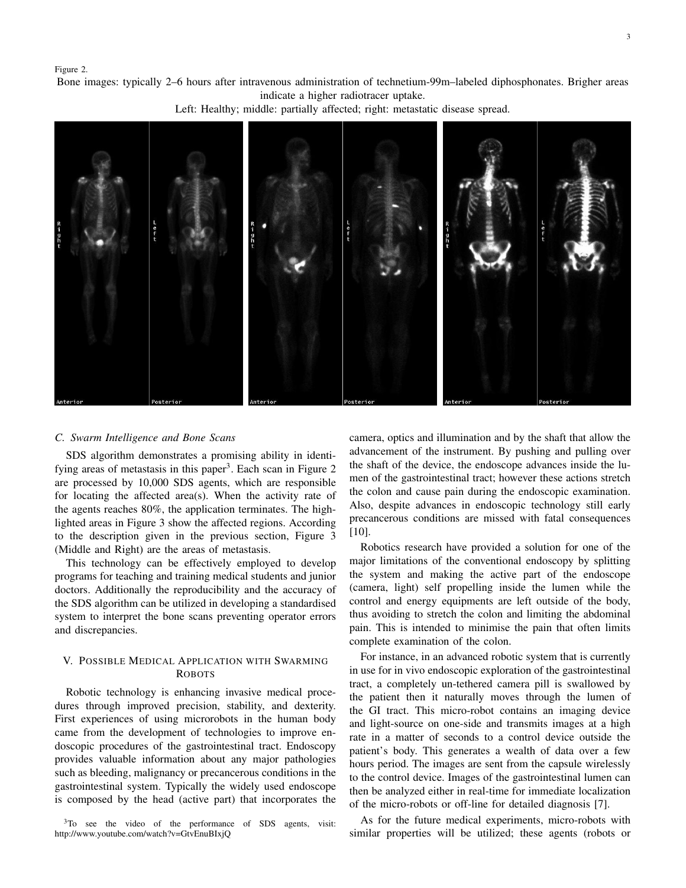Figure 2.

Bone images: typically 2–6 hours after intravenous administration of technetium-99m–labeled diphosphonates. Brigher areas indicate a higher radiotracer uptake.

Left: Healthy; middle: partially affected; right: metastatic disease spread.

### *C. Swarm Intelligence and Bone Scans*

SDS algorithm demonstrates a promising ability in identifying areas of metastasis in this paper<sup>3</sup>. Each scan in Figure 2 are processed by 10,000 SDS agents, which are responsible for locating the affected area(s). When the activity rate of the agents reaches 80%, the application terminates. The highlighted areas in Figure 3 show the affected regions. According to the description given in the previous section, Figure 3 (Middle and Right) are the areas of metastasis.

This technology can be effectively employed to develop programs for teaching and training medical students and junior doctors. Additionally the reproducibility and the accuracy of the SDS algorithm can be utilized in developing a standardised system to interpret the bone scans preventing operator errors and discrepancies.

# V. POSSIBLE MEDICAL APPLICATION WITH SWARMING ROBOTS

Robotic technology is enhancing invasive medical procedures through improved precision, stability, and dexterity. First experiences of using microrobots in the human body came from the development of technologies to improve endoscopic procedures of the gastrointestinal tract. Endoscopy provides valuable information about any major pathologies such as bleeding, malignancy or precancerous conditions in the gastrointestinal system. Typically the widely used endoscope is composed by the head (active part) that incorporates the

<sup>3</sup>To see the video of the performance of SDS agents, visit: http://www.youtube.com/watch?v=GtvEnuBIxjQ

camera, optics and illumination and by the shaft that allow the advancement of the instrument. By pushing and pulling over the shaft of the device, the endoscope advances inside the lumen of the gastrointestinal tract; however these actions stretch the colon and cause pain during the endoscopic examination. Also, despite advances in endoscopic technology still early precancerous conditions are missed with fatal consequences [10].

Robotics research have provided a solution for one of the major limitations of the conventional endoscopy by splitting the system and making the active part of the endoscope (camera, light) self propelling inside the lumen while the control and energy equipments are left outside of the body, thus avoiding to stretch the colon and limiting the abdominal pain. This is intended to minimise the pain that often limits complete examination of the colon.

For instance, in an advanced robotic system that is currently in use for in vivo endoscopic exploration of the gastrointestinal tract, a completely un-tethered camera pill is swallowed by the patient then it naturally moves through the lumen of the GI tract. This micro-robot contains an imaging device and light-source on one-side and transmits images at a high rate in a matter of seconds to a control device outside the patient's body. This generates a wealth of data over a few hours period. The images are sent from the capsule wirelessly to the control device. Images of the gastrointestinal lumen can then be analyzed either in real-time for immediate localization of the micro-robots or off-line for detailed diagnosis [7].

As for the future medical experiments, micro-robots with similar properties will be utilized; these agents (robots or